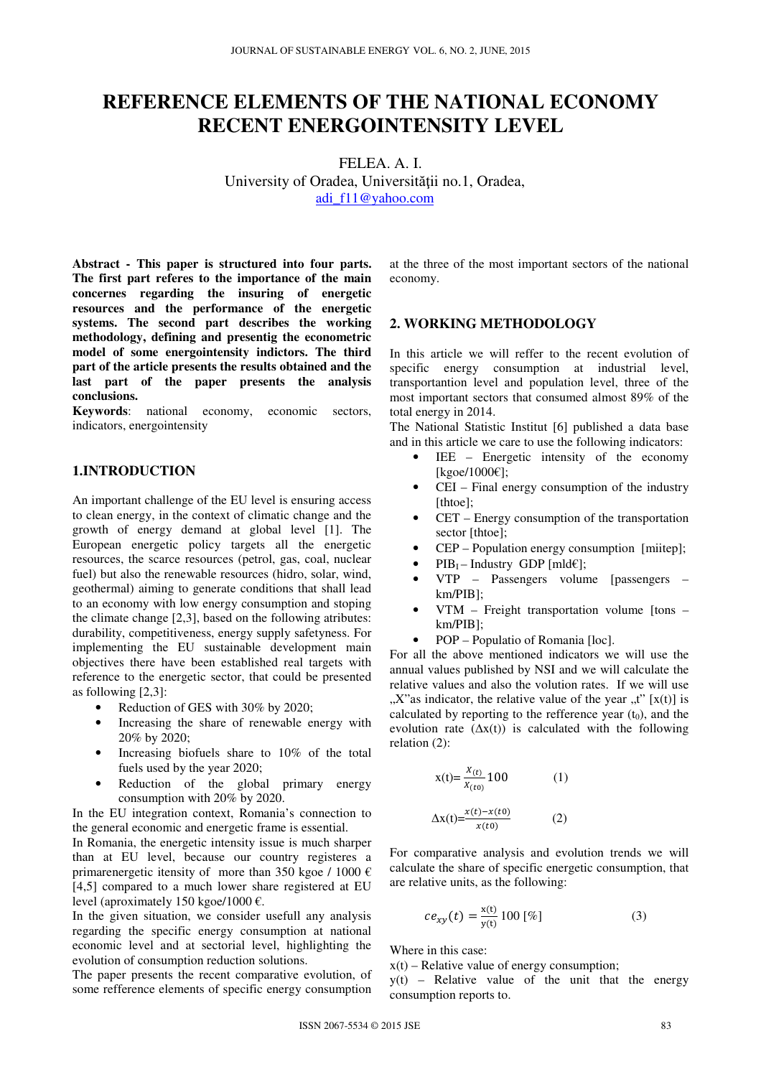# **REFERENCE ELEMENTS OF THE NATIONAL ECONOMY RECENT ENERGOINTENSITY LEVEL**

FELEA. A. I. University of Oradea, Universităţii no.1, Oradea, adi\_f11@yahoo.com

**Abstract - This paper is structured into four parts. The first part referes to the importance of the main concernes regarding the insuring of energetic resources and the performance of the energetic systems. The second part describes the working methodology, defining and presentig the econometric model of some energointensity indictors. The third part of the article presents the results obtained and the last part of the paper presents the analysis conclusions.** 

**Keywords**: national economy, economic sectors, indicators, energointensity

### **1.INTRODUCTION**

An important challenge of the EU level is ensuring access to clean energy, in the context of climatic change and the growth of energy demand at global level [1]. The European energetic policy targets all the energetic resources, the scarce resources (petrol, gas, coal, nuclear fuel) but also the renewable resources (hidro, solar, wind, geothermal) aiming to generate conditions that shall lead to an economy with low energy consumption and stoping the climate change [2,3], based on the following atributes: durability, competitiveness, energy supply safetyness. For implementing the EU sustainable development main objectives there have been established real targets with reference to the energetic sector, that could be presented as following [2,3]:

- Reduction of GES with 30% by 2020;
- Increasing the share of renewable energy with 20% by 2020;
- Increasing biofuels share to 10% of the total fuels used by the year 2020;
- Reduction of the global primary energy consumption with 20% by 2020.

In the EU integration context, Romania's connection to the general economic and energetic frame is essential.

In Romania, the energetic intensity issue is much sharper than at EU level, because our country registeres a primarenergetic itensity of more than 350 kgoe / 1000  $\epsilon$ [4,5] compared to a much lower share registered at EU level (aproximately 150 kgoe/1000 €.

In the given situation, we consider usefull any analysis regarding the specific energy consumption at national economic level and at sectorial level, highlighting the evolution of consumption reduction solutions.

The paper presents the recent comparative evolution, of some refference elements of specific energy consumption

at the three of the most important sectors of the national economy.

### **2. WORKING METHODOLOGY**

In this article we will reffer to the recent evolution of specific energy consumption at industrial level, transportantion level and population level, three of the most important sectors that consumed almost 89% of the total energy in 2014.

The National Statistic Institut [6] published a data base and in this article we care to use the following indicators:

- $IEE$  Energetic intensity of the economy [kgoe/1000€];
- CEI Final energy consumption of the industry [thtoe];
- CET Energy consumption of the transportation sector [thtoe];
- CEP Population energy consumption [miitep];
- $PIB_1$  Industry GDP [mld $\in$ ];
- VTP Passengers volume [passengers km/PIB];
- VTM Freight transportation volume [tons km/PIB];
- POP Populatio of Romania [loc].

For all the above mentioned indicators we will use the annual values published by NSI and we will calculate the relative values and also the volution rates. If we will use  $X$ "as indicator, the relative value of the year  $,t$ " [x(t)] is calculated by reporting to the refference year  $(t_0)$ , and the evolution rate  $(\Delta x(t))$  is calculated with the following relation (2):

$$
x(t) = \frac{x(t)}{x(t_0)} 100
$$
 (1)  

$$
\Delta x(t) = \frac{x(t) - x(t_0)}{x(t_0)}
$$
 (2)

For comparative analysis and evolution trends we will calculate the share of specific energetic consumption, that are relative units, as the following:

$$
ce_{xy}(t) = \frac{x(t)}{y(t)} 100 \, [\%]
$$
 (3)

Where in this case:

 $x(t)$  – Relative value of energy consumption;

 $y(t)$  – Relative value of the unit that the energy consumption reports to.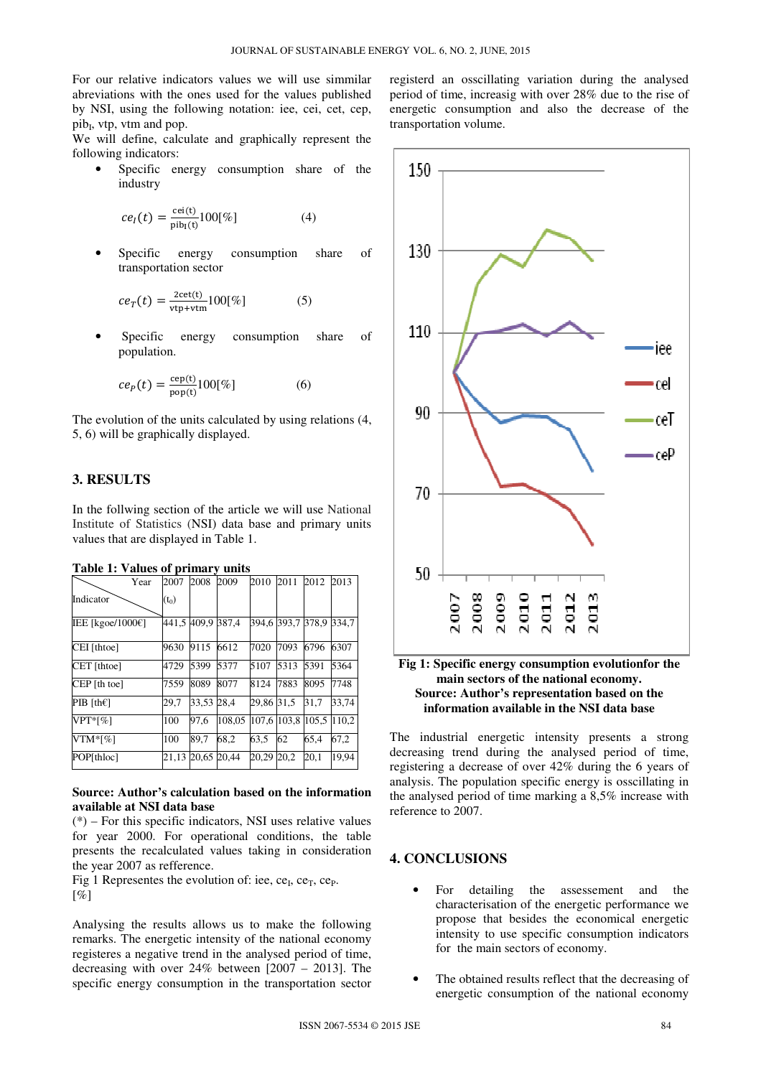For our relative indicators values we will use simmilar abreviations with the ones used for the values published by NSI, using the following notation: iee, cei, cet, cep, pib<sub>I</sub>, vtp, vtm and pop.

We will define, calculate and graphically represent the following indicators:

Specific energy consumption share of the industry

$$
ce_{I}(t) = \frac{\text{cei}(t)}{\text{pib}_{I}(t)} 100[\%]
$$
 (4)

Specific energy consumption share of transportation sector

$$
ce_T(t) = \frac{2\cot(t)}{\text{vtp} + \text{vtm}} 100[\%]
$$
 (5)

Specific energy consumption share of population.

$$
ce_p(t) = \frac{\text{cep(t)}}{\text{pop(t)}} 100[\%]
$$
 (6)

The evolution of the units calculated by using relations (4, 5, 6) will be graphically displayed.

### **3. RESULTS**

In the follwing section of the article we will use National Institute of Statistics (NSI) data base and primary units values that are displayed in Table 1.

| Year                           | 2007    | 2008              | 2009   | 2010        | 2011 | 2012  | 2013  |
|--------------------------------|---------|-------------------|--------|-------------|------|-------|-------|
| Indicator                      | $(t_0)$ |                   |        |             |      |       |       |
| IEE [kgoe/1000 $\varepsilon$ ] |         | 441,5 409,9 387,4 |        | 394.6 393.7 |      | 378.9 | 334.7 |
| CEI [thtoe]                    | 9630    | 9115              | 6612   | 7020        | 7093 | 6796  | 6307  |
| CET [thtoe]                    | 4729    | 5399              | 5377   | 5107        | 5313 | 5391  | 5364  |
| $CEP$ [th toe]                 | 7559    | 8089              | 8077   | 8124        | 7883 | 8095  | 7748  |
| PIB [th $\epsilon$ ]           | 29.7    | 33.53             | 28.4   | 29.86       | 31.5 | 31.7  | 33.74 |
| $VPT*[%]$                      | 100     | 97.6              | 108.05 | 107.6 103.8 |      | 105.5 | 110.2 |
| $VTM*[%]$                      | 100     | 89,7              | 68.2   | 63.5        | 62   | 65.4  | 67,2  |
| POP[thloc]                     | 21,13   | 20,65             | 20,44  | 20,29       | 20,2 | 20,1  | 19,94 |

# **Table 1: Values of primary units**

### **Source: Author's calculation based on the information available at NSI data base**

(\*) – For this specific indicators, NSI uses relative values for year 2000. For operational conditions, the table presents the recalculated values taking in consideration the year 2007 as refference.

Fig 1 Representes the evolution of: iee,  $ce_I$ ,  $ce_T$ ,  $ce_P$ .  $[%]$ 

Analysing the results allows us to make the following remarks. The energetic intensity of the national economy registeres a negative trend in the analysed period of time, decreasing with over 24% between [2007 – 2013]. The specific energy consumption in the transportation sector

registerd an osscillating variation during the analysed period of time, increasig with over 28% due to the rise of energetic consumption and also the decrease of the transportation volume.



### **Fig 1: Specific energy consumption evolutionfor the main sectors of the national economy. Source: Author's representation based on the information available in the NSI data base**

The industrial energetic intensity presents a strong decreasing trend during the analysed period of time, registering a decrease of over 42% during the 6 years of analysis. The population specific energy is osscillating in the analysed period of time marking a 8,5% increase with reference to 2007.

## **4. CONCLUSIONS**

- For detailing the assessement and the characterisation of the energetic performance we propose that besides the economical energetic intensity to use specific consumption indicators for the main sectors of economy.
- The obtained results reflect that the decreasing of energetic consumption of the national economy